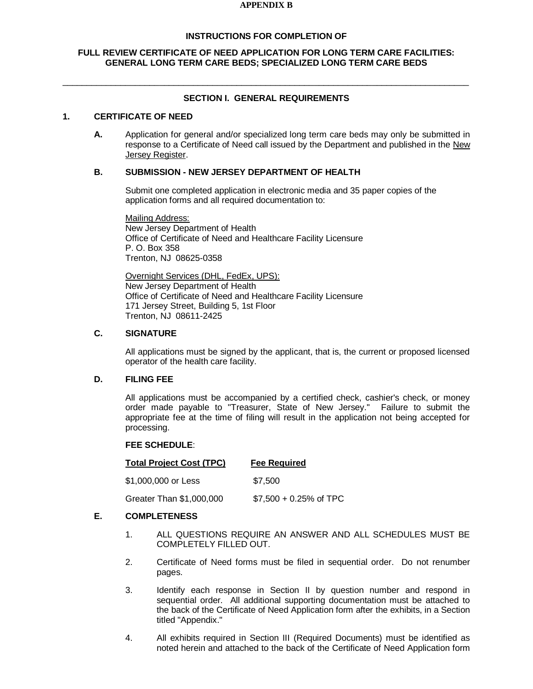#### **APPENDIX B**

### **INSTRUCTIONS FOR COMPLETION OF**

### **FULL REVIEW CERTIFICATE OF NEED APPLICATION FOR LONG TERM CARE FACILITIES: GENERAL LONG TERM CARE BEDS; SPECIALIZED LONG TERM CARE BEDS**

 $\_$  ,  $\_$  ,  $\_$  ,  $\_$  ,  $\_$  ,  $\_$  ,  $\_$  ,  $\_$  ,  $\_$  ,  $\_$  ,  $\_$  ,  $\_$  ,  $\_$  ,  $\_$  ,  $\_$  ,  $\_$  ,  $\_$  ,  $\_$  ,  $\_$  ,  $\_$  ,  $\_$  ,  $\_$  ,  $\_$  ,  $\_$  ,  $\_$  ,  $\_$  ,  $\_$  ,  $\_$  ,  $\_$  ,  $\_$  ,  $\_$  ,  $\_$  ,  $\_$  ,  $\_$  ,  $\_$  ,  $\_$  ,  $\_$  ,

## **SECTION I. GENERAL REQUIREMENTS**

### **1. CERTIFICATE OF NEED**

**A.** Application for general and/or specialized long term care beds may only be submitted in response to a Certificate of Need call issued by the Department and published in the New Jersey Register.

#### **B. SUBMISSION - NEW JERSEY DEPARTMENT OF HEALTH**

Submit one completed application in electronic media and 35 paper copies of the application forms and all required documentation to:

Mailing Address: New Jersey Department of Health Office of Certificate of Need and Healthcare Facility Licensure P. O. Box 358 Trenton, NJ 08625-0358

Overnight Services (DHL, FedEx, UPS): New Jersey Department of Health Office of Certificate of Need and Healthcare Facility Licensure 171 Jersey Street, Building 5, 1st Floor Trenton, NJ 08611-2425

#### **C. SIGNATURE**

All applications must be signed by the applicant, that is, the current or proposed licensed operator of the health care facility.

### **D. FILING FEE**

All applications must be accompanied by a certified check, cashier's check, or money order made payable to "Treasurer, State of New Jersey." Failure to submit the appropriate fee at the time of filing will result in the application not being accepted for processing.

#### **FEE SCHEDULE**:

| <b>Total Project Cost (TPC)</b> | <b>Fee Required</b>      |
|---------------------------------|--------------------------|
| \$1.000.000 or Less             | \$7.500                  |
| Greater Than \$1,000,000        | $$7,500 + 0.25\%$ of TPC |

## **E. COMPLETENESS**

- 1. ALL QUESTIONS REQUIRE AN ANSWER AND ALL SCHEDULES MUST BE COMPLETELY FILLED OUT.
- 2. Certificate of Need forms must be filed in sequential order. Do not renumber pages.
- 3. Identify each response in Section II by question number and respond in sequential order. All additional supporting documentation must be attached to the back of the Certificate of Need Application form after the exhibits, in a Section titled "Appendix."
- 4. All exhibits required in Section III (Required Documents) must be identified as noted herein and attached to the back of the Certificate of Need Application form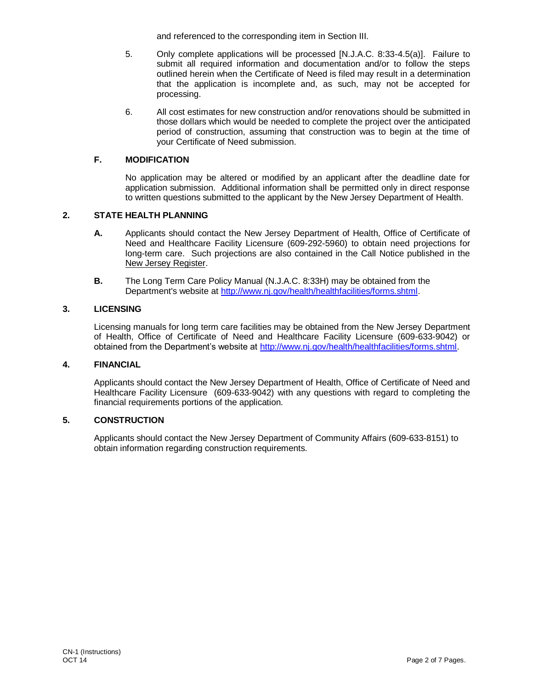and referenced to the corresponding item in Section III.

- 5. Only complete applications will be processed [N.J.A.C. 8:33-4.5(a)]. Failure to submit all required information and documentation and/or to follow the steps outlined herein when the Certificate of Need is filed may result in a determination that the application is incomplete and, as such, may not be accepted for processing.
- 6. All cost estimates for new construction and/or renovations should be submitted in those dollars which would be needed to complete the project over the anticipated period of construction, assuming that construction was to begin at the time of your Certificate of Need submission.

## **F. MODIFICATION**

No application may be altered or modified by an applicant after the deadline date for application submission. Additional information shall be permitted only in direct response to written questions submitted to the applicant by the New Jersey Department of Health.

### **2. STATE HEALTH PLANNING**

- **A.** Applicants should contact the New Jersey Department of Health, Office of Certificate of Need and Healthcare Facility Licensure (609-292-5960) to obtain need projections for long-term care. Such projections are also contained in the Call Notice published in the New Jersey Register.
- **B.** The Long Term Care Policy Manual (N.J.A.C. 8:33H) may be obtained from the Department's website at [http://www.nj.gov/health/healthfacilities/forms.shtml.](http://www.state.nj.us/health/healthfacilities/forms.shtml)

### **3. LICENSING**

Licensing manuals for long term care facilities may be obtained from the New Jersey Department of Health, Office of Certificate of Need and Healthcare Facility Licensure (609-633-9042) or obtained from the Department's website at [http://www.nj.gov/health/healthfacilities/forms.shtml.](http://www.state.nj.us/health/healthfacilities/forms.shtml)

## **4. FINANCIAL**

Applicants should contact the New Jersey Department of Health, Office of Certificate of Need and Healthcare Facility Licensure (609-633-9042) with any questions with regard to completing the financial requirements portions of the application.

### **5. CONSTRUCTION**

Applicants should contact the New Jersey Department of Community Affairs (609-633-8151) to obtain information regarding construction requirements.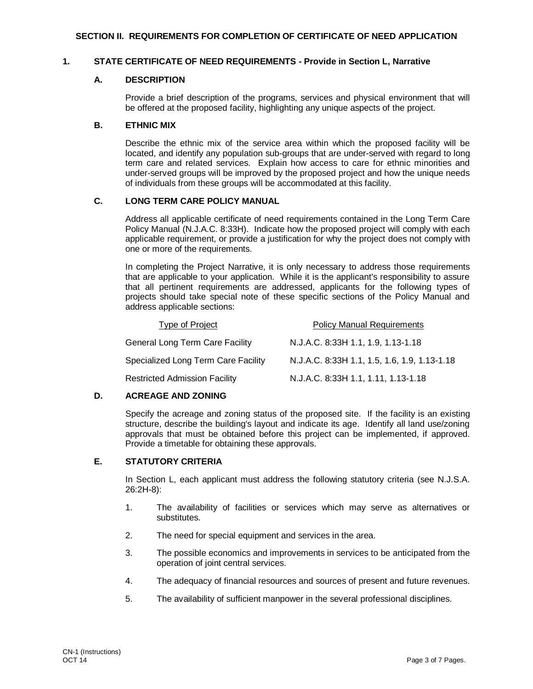#### **1. STATE CERTIFICATE OF NEED REQUIREMENTS - Provide in Section L, Narrative**

### **A. DESCRIPTION**

Provide a brief description of the programs, services and physical environment that will be offered at the proposed facility, highlighting any unique aspects of the project.

### **B. ETHNIC MIX**

Describe the ethnic mix of the service area within which the proposed facility will be located, and identify any population sub-groups that are under-served with regard to long term care and related services. Explain how access to care for ethnic minorities and under-served groups will be improved by the proposed project and how the unique needs of individuals from these groups will be accommodated at this facility.

## **C. LONG TERM CARE POLICY MANUAL**

Address all applicable certificate of need requirements contained in the Long Term Care Policy Manual (N.J.A.C. 8:33H). Indicate how the proposed project will comply with each applicable requirement, or provide a justification for why the project does not comply with one or more of the requirements.

In completing the Project Narrative, it is only necessary to address those requirements that are applicable to your application. While it is the applicant's responsibility to assure that all pertinent requirements are addressed, applicants for the following types of projects should take special note of these specific sections of the Policy Manual and address applicable sections:

| Type of Project                        | <b>Policy Manual Requirements</b>            |
|----------------------------------------|----------------------------------------------|
| <b>General Long Term Care Facility</b> | N.J.A.C. 8:33H 1.1, 1.9, 1.13-1.18           |
| Specialized Long Term Care Facility    | N.J.A.C. 8:33H 1.1, 1.5, 1.6, 1.9, 1.13-1.18 |
| Restricted Admission Facility          | N.J.A.C. 8:33H 1.1, 1.11, 1.13-1.18          |

### **D. ACREAGE AND ZONING**

Specify the acreage and zoning status of the proposed site. If the facility is an existing structure, describe the building's layout and indicate its age. Identify all land use/zoning approvals that must be obtained before this project can be implemented, if approved. Provide a timetable for obtaining these approvals.

## **E. STATUTORY CRITERIA**

In Section L, each applicant must address the following statutory criteria (see N.J.S.A. 26:2H-8):

- 1. The availability of facilities or services which may serve as alternatives or substitutes.
- 2. The need for special equipment and services in the area.
- 3. The possible economics and improvements in services to be anticipated from the operation of joint central services.
- 4. The adequacy of financial resources and sources of present and future revenues.
- 5. The availability of sufficient manpower in the several professional disciplines.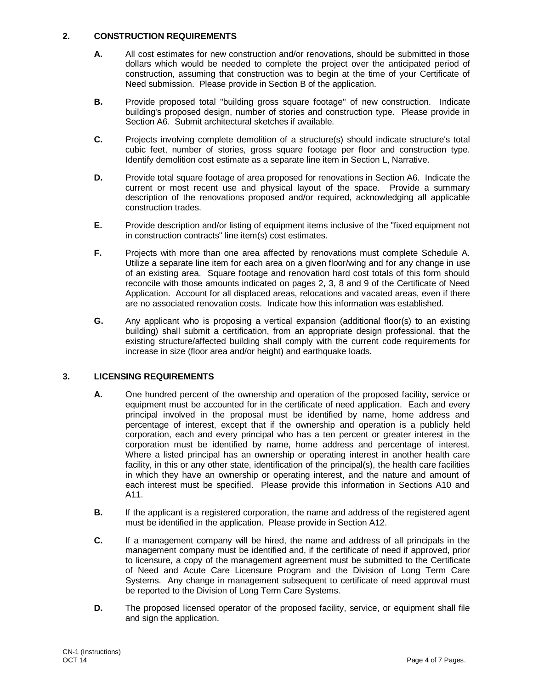## **2. CONSTRUCTION REQUIREMENTS**

- **A.** All cost estimates for new construction and/or renovations, should be submitted in those dollars which would be needed to complete the project over the anticipated period of construction, assuming that construction was to begin at the time of your Certificate of Need submission. Please provide in Section B of the application.
- **B.** Provide proposed total "building gross square footage" of new construction. Indicate building's proposed design, number of stories and construction type. Please provide in Section A6. Submit architectural sketches if available.
- **C.** Projects involving complete demolition of a structure(s) should indicate structure's total cubic feet, number of stories, gross square footage per floor and construction type. Identify demolition cost estimate as a separate line item in Section L, Narrative.
- **D.** Provide total square footage of area proposed for renovations in Section A6. Indicate the current or most recent use and physical layout of the space. Provide a summary description of the renovations proposed and/or required, acknowledging all applicable construction trades.
- **E.** Provide description and/or listing of equipment items inclusive of the "fixed equipment not in construction contracts" line item(s) cost estimates.
- **F.** Projects with more than one area affected by renovations must complete Schedule A. Utilize a separate line item for each area on a given floor/wing and for any change in use of an existing area. Square footage and renovation hard cost totals of this form should reconcile with those amounts indicated on pages 2, 3, 8 and 9 of the Certificate of Need Application. Account for all displaced areas, relocations and vacated areas, even if there are no associated renovation costs. Indicate how this information was established.
- **G.** Any applicant who is proposing a vertical expansion (additional floor(s) to an existing building) shall submit a certification, from an appropriate design professional, that the existing structure/affected building shall comply with the current code requirements for increase in size (floor area and/or height) and earthquake loads.

## **3. LICENSING REQUIREMENTS**

- **A.** One hundred percent of the ownership and operation of the proposed facility, service or equipment must be accounted for in the certificate of need application. Each and every principal involved in the proposal must be identified by name, home address and percentage of interest, except that if the ownership and operation is a publicly held corporation, each and every principal who has a ten percent or greater interest in the corporation must be identified by name, home address and percentage of interest. Where a listed principal has an ownership or operating interest in another health care facility, in this or any other state, identification of the principal(s), the health care facilities in which they have an ownership or operating interest, and the nature and amount of each interest must be specified. Please provide this information in Sections A10 and A11.
- **B.** If the applicant is a registered corporation, the name and address of the registered agent must be identified in the application. Please provide in Section A12.
- **C.** If a management company will be hired, the name and address of all principals in the management company must be identified and, if the certificate of need if approved, prior to licensure, a copy of the management agreement must be submitted to the Certificate of Need and Acute Care Licensure Program and the Division of Long Term Care Systems. Any change in management subsequent to certificate of need approval must be reported to the Division of Long Term Care Systems.
- **D.** The proposed licensed operator of the proposed facility, service, or equipment shall file and sign the application.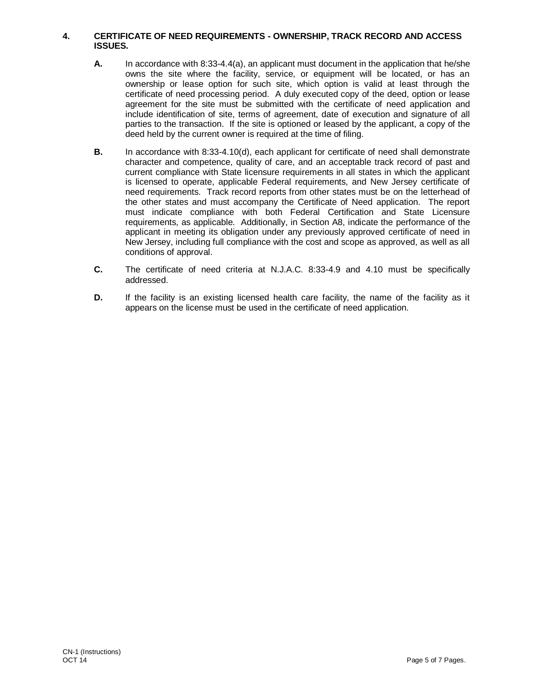### **4. CERTIFICATE OF NEED REQUIREMENTS - OWNERSHIP, TRACK RECORD AND ACCESS ISSUES.**

- **A.** In accordance with 8:33-4.4(a), an applicant must document in the application that he/she owns the site where the facility, service, or equipment will be located, or has an ownership or lease option for such site, which option is valid at least through the certificate of need processing period. A duly executed copy of the deed, option or lease agreement for the site must be submitted with the certificate of need application and include identification of site, terms of agreement, date of execution and signature of all parties to the transaction. If the site is optioned or leased by the applicant, a copy of the deed held by the current owner is required at the time of filing.
- **B.** In accordance with 8:33-4.10(d), each applicant for certificate of need shall demonstrate character and competence, quality of care, and an acceptable track record of past and current compliance with State licensure requirements in all states in which the applicant is licensed to operate, applicable Federal requirements, and New Jersey certificate of need requirements. Track record reports from other states must be on the letterhead of the other states and must accompany the Certificate of Need application. The report must indicate compliance with both Federal Certification and State Licensure requirements, as applicable. Additionally, in Section A8, indicate the performance of the applicant in meeting its obligation under any previously approved certificate of need in New Jersey, including full compliance with the cost and scope as approved, as well as all conditions of approval.
- **C.** The certificate of need criteria at N.J.A.C. 8:33-4.9 and 4.10 must be specifically addressed.
- **D.** If the facility is an existing licensed health care facility, the name of the facility as it appears on the license must be used in the certificate of need application.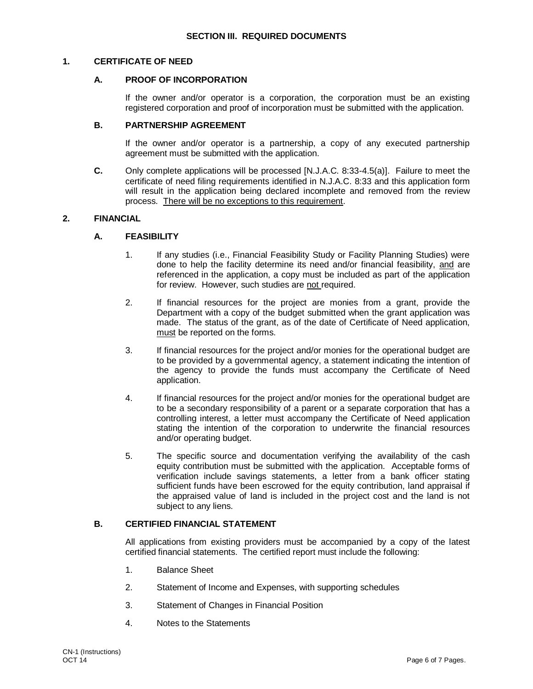#### **1. CERTIFICATE OF NEED**

#### **A. PROOF OF INCORPORATION**

If the owner and/or operator is a corporation, the corporation must be an existing registered corporation and proof of incorporation must be submitted with the application.

#### **B. PARTNERSHIP AGREEMENT**

If the owner and/or operator is a partnership, a copy of any executed partnership agreement must be submitted with the application.

**C.** Only complete applications will be processed [N.J.A.C. 8:33-4.5(a)]. Failure to meet the certificate of need filing requirements identified in N.J.A.C. 8:33 and this application form will result in the application being declared incomplete and removed from the review process. There will be no exceptions to this requirement.

### **2. FINANCIAL**

### **A. FEASIBILITY**

- 1. If any studies (i.e., Financial Feasibility Study or Facility Planning Studies) were done to help the facility determine its need and/or financial feasibility, and are referenced in the application, a copy must be included as part of the application for review. However, such studies are not required.
- 2. If financial resources for the project are monies from a grant, provide the Department with a copy of the budget submitted when the grant application was made. The status of the grant, as of the date of Certificate of Need application, must be reported on the forms.
- 3. If financial resources for the project and/or monies for the operational budget are to be provided by a governmental agency, a statement indicating the intention of the agency to provide the funds must accompany the Certificate of Need application.
- 4. If financial resources for the project and/or monies for the operational budget are to be a secondary responsibility of a parent or a separate corporation that has a controlling interest, a letter must accompany the Certificate of Need application stating the intention of the corporation to underwrite the financial resources and/or operating budget.
- 5. The specific source and documentation verifying the availability of the cash equity contribution must be submitted with the application. Acceptable forms of verification include savings statements, a letter from a bank officer stating sufficient funds have been escrowed for the equity contribution, land appraisal if the appraised value of land is included in the project cost and the land is not subject to any liens.

### **B. CERTIFIED FINANCIAL STATEMENT**

All applications from existing providers must be accompanied by a copy of the latest certified financial statements. The certified report must include the following:

- 1. Balance Sheet
- 2. Statement of Income and Expenses, with supporting schedules
- 3. Statement of Changes in Financial Position
- 4. Notes to the Statements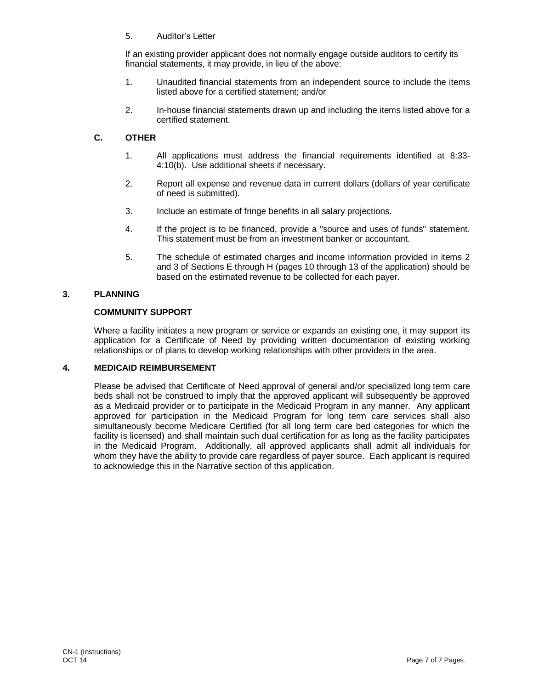5. Auditor's Letter

If an existing provider applicant does not normally engage outside auditors to certify its financial statements, it may provide, in lieu of the above:

- 1. Unaudited financial statements from an independent source to include the items listed above for a certified statement; and/or
- 2. In-house financial statements drawn up and including the items listed above for a certified statement.

## **C. OTHER**

- 1. All applications must address the financial requirements identified at 8:33- 4:10(b). Use additional sheets if necessary.
- 2. Report all expense and revenue data in current dollars (dollars of year certificate of need is submitted).
- 3. Include an estimate of fringe benefits in all salary projections.
- 4. If the project is to be financed, provide a "source and uses of funds" statement. This statement must be from an investment banker or accountant.
- 5. The schedule of estimated charges and income information provided in items 2 and 3 of Sections E through H (pages 10 through 13 of the application) should be based on the estimated revenue to be collected for each payer.

### **3. PLANNING**

### **COMMUNITY SUPPORT**

Where a facility initiates a new program or service or expands an existing one, it may support its application for a Certificate of Need by providing written documentation of existing working relationships or of plans to develop working relationships with other providers in the area.

### **4. MEDICAID REIMBURSEMENT**

Please be advised that Certificate of Need approval of general and/or specialized long term care beds shall not be construed to imply that the approved applicant will subsequently be approved as a Medicaid provider or to participate in the Medicaid Program in any manner. Any applicant approved for participation in the Medicaid Program for long term care services shall also simultaneously become Medicare Certified (for all long term care bed categories for which the facility is licensed) and shall maintain such dual certification for as long as the facility participates in the Medicaid Program. Additionally, all approved applicants shall admit all individuals for whom they have the ability to provide care regardless of payer source. Each applicant is required to acknowledge this in the Narrative section of this application.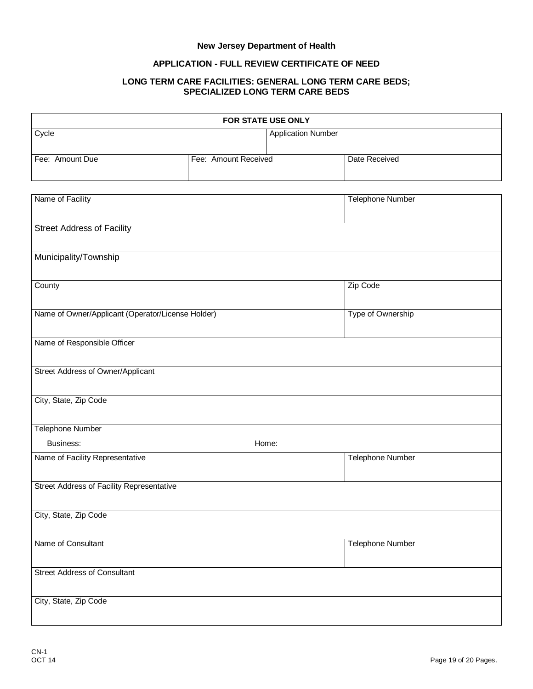# **New Jersey Department of Health**

## **APPLICATION - FULL REVIEW CERTIFICATE OF NEED**

#### **LONG TERM CARE FACILITIES: GENERAL LONG TERM CARE BEDS; SPECIALIZED LONG TERM CARE BEDS**

| FOR STATE USE ONLY                                |                      |                           |                         |  |
|---------------------------------------------------|----------------------|---------------------------|-------------------------|--|
| Cycle                                             |                      | <b>Application Number</b> |                         |  |
|                                                   |                      |                           |                         |  |
| Fee: Amount Due                                   | Fee: Amount Received |                           | Date Received           |  |
|                                                   |                      |                           |                         |  |
| Name of Facility                                  |                      |                           | <b>Telephone Number</b> |  |
|                                                   |                      |                           |                         |  |
| <b>Street Address of Facility</b>                 |                      |                           |                         |  |
| Municipality/Township                             |                      |                           |                         |  |
| County                                            |                      |                           | Zip Code                |  |
|                                                   |                      |                           |                         |  |
| Name of Owner/Applicant (Operator/License Holder) |                      |                           | Type of Ownership       |  |
|                                                   |                      |                           |                         |  |
| Name of Responsible Officer                       |                      |                           |                         |  |
| Street Address of Owner/Applicant                 |                      |                           |                         |  |
|                                                   |                      |                           |                         |  |
| City, State, Zip Code                             |                      |                           |                         |  |
|                                                   |                      |                           |                         |  |
| <b>Telephone Number</b>                           |                      |                           |                         |  |
| Business:                                         |                      | Home:                     |                         |  |
| Name of Facility Representative                   |                      |                           | <b>Telephone Number</b> |  |
| Street Address of Facility Representative         |                      |                           |                         |  |
|                                                   |                      |                           |                         |  |
| City, State, Zip Code                             |                      |                           |                         |  |
|                                                   |                      |                           |                         |  |
| Name of Consultant                                |                      |                           | <b>Telephone Number</b> |  |
| <b>Street Address of Consultant</b>               |                      |                           |                         |  |
| City, State, Zip Code                             |                      |                           |                         |  |
|                                                   |                      |                           |                         |  |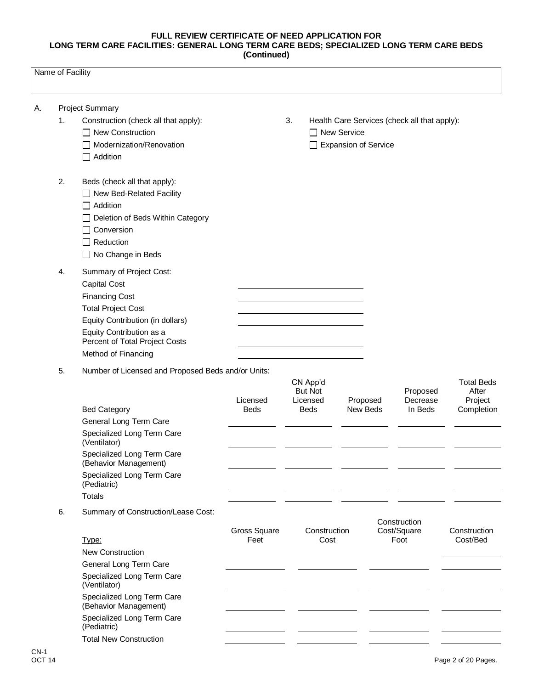|    | Name of Facility |                                                            |             |    |                            |                        |                                              |                            |
|----|------------------|------------------------------------------------------------|-------------|----|----------------------------|------------------------|----------------------------------------------|----------------------------|
| А. |                  | <b>Project Summary</b>                                     |             |    |                            |                        |                                              |                            |
|    | 1.               | Construction (check all that apply):                       |             | 3. |                            |                        | Health Care Services (check all that apply): |                            |
|    |                  | □ New Construction                                         |             |    | □ New Service              |                        |                                              |                            |
|    |                  | $\Box$ Modernization/Renovation                            |             |    |                            | □ Expansion of Service |                                              |                            |
|    |                  | $\Box$ Addition                                            |             |    |                            |                        |                                              |                            |
|    | 2.               | Beds (check all that apply):                               |             |    |                            |                        |                                              |                            |
|    |                  | □ New Bed-Related Facility                                 |             |    |                            |                        |                                              |                            |
|    |                  | $\Box$ Addition                                            |             |    |                            |                        |                                              |                            |
|    |                  | □ Deletion of Beds Within Category                         |             |    |                            |                        |                                              |                            |
|    |                  | $\Box$ Conversion                                          |             |    |                            |                        |                                              |                            |
|    |                  | $\Box$ Reduction                                           |             |    |                            |                        |                                              |                            |
|    |                  | □ No Change in Beds                                        |             |    |                            |                        |                                              |                            |
|    | 4.               | Summary of Project Cost:                                   |             |    |                            |                        |                                              |                            |
|    |                  | <b>Capital Cost</b>                                        |             |    |                            |                        |                                              |                            |
|    |                  | <b>Financing Cost</b>                                      |             |    |                            |                        |                                              |                            |
|    |                  | <b>Total Project Cost</b>                                  |             |    |                            |                        |                                              |                            |
|    |                  | Equity Contribution (in dollars)                           |             |    |                            |                        |                                              |                            |
|    |                  | Equity Contribution as a<br>Percent of Total Project Costs |             |    |                            |                        |                                              |                            |
|    |                  | Method of Financing                                        |             |    |                            |                        |                                              |                            |
|    | 5.               | Number of Licensed and Proposed Beds and/or Units:         |             |    |                            |                        |                                              |                            |
|    |                  |                                                            |             |    | CN App'd<br><b>But Not</b> |                        | Proposed                                     | <b>Total Beds</b><br>After |
|    |                  |                                                            | Licensed    |    | Licensed                   | Proposed               | Decrease                                     | Project                    |
|    |                  | <b>Bed Category</b>                                        | <b>Beds</b> |    | <b>Beds</b>                | New Beds               | In Beds                                      | Completion                 |
|    |                  | General Long Term Care                                     |             |    |                            |                        |                                              |                            |
|    |                  | Specialized Long Term Care<br>(Ventilator)                 |             |    |                            |                        |                                              |                            |
|    |                  | Specialized Long Term Care<br>(Behavior Management)        |             |    |                            |                        |                                              |                            |
|    |                  | Specialized Long Term Care                                 |             |    |                            |                        |                                              |                            |

6. Summary of Construction/Lease Cost:

(Pediatric) Totals

| Gross Square<br>Construction                        | Construction<br>Cost/Square | Construction |
|-----------------------------------------------------|-----------------------------|--------------|
| Feet<br>Type:<br>Cost                               | Foot                        | Cost/Bed     |
| New Construction                                    |                             |              |
| General Long Term Care                              |                             |              |
| Specialized Long Term Care<br>(Ventilator)          |                             |              |
| Specialized Long Term Care<br>(Behavior Management) |                             |              |
| Specialized Long Term Care<br>(Pediatric)           |                             |              |
| <b>Total New Construction</b>                       |                             |              |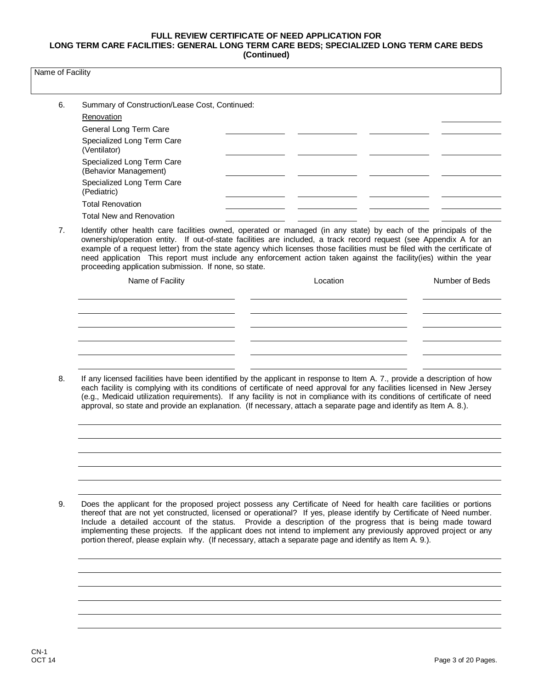| Name of Facility |  |
|------------------|--|
|------------------|--|

| 6. | Summary of Construction/Lease Cost, Continued:      |  |  |
|----|-----------------------------------------------------|--|--|
|    | Renovation                                          |  |  |
|    | General Long Term Care                              |  |  |
|    | Specialized Long Term Care<br>(Ventilator)          |  |  |
|    | Specialized Long Term Care<br>(Behavior Management) |  |  |
|    | Specialized Long Term Care<br>(Pediatric)           |  |  |
|    | <b>Total Renovation</b>                             |  |  |
|    | <b>Total New and Renovation</b>                     |  |  |

7. Identify other health care facilities owned, operated or managed (in any state) by each of the principals of the ownership/operation entity. If out-of-state facilities are included, a track record request (see Appendix A for an example of a request letter) from the state agency which licenses those facilities must be filed with the certificate of need application This report must include any enforcement action taken against the facility(ies) within the year proceeding application submission. If none, so state.

| Name of Facility | Location | Number of Beds |
|------------------|----------|----------------|
|                  |          |                |
|                  |          |                |
|                  |          |                |
|                  |          |                |
|                  |          |                |

8. If any licensed facilities have been identified by the applicant in response to Item A. 7., provide a description of how each facility is complying with its conditions of certificate of need approval for any facilities licensed in New Jersey (e.g., Medicaid utilization requirements). If any facility is not in compliance with its conditions of certificate of need approval, so state and provide an explanation. (If necessary, attach a separate page and identify as Item A. 8.).

9. Does the applicant for the proposed project possess any Certificate of Need for health care facilities or portions thereof that are not yet constructed, licensed or operational? If yes, please identify by Certificate of Need number. Include a detailed account of the status. Provide a description of the progress that is being made toward implementing these projects. If the applicant does not intend to implement any previously approved project or any portion thereof, please explain why. (If necessary, attach a separate page and identify as Item A. 9.).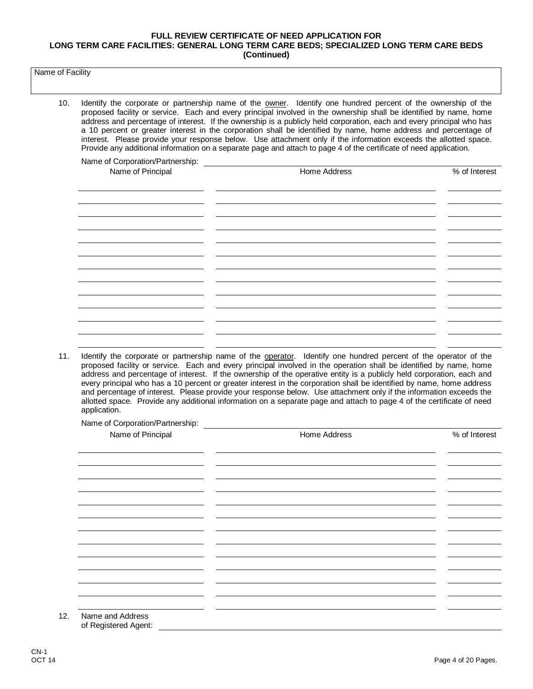Name of Facility

10. Identify the corporate or partnership name of the owner. Identify one hundred percent of the ownership of the proposed facility or service. Each and every principal involved in the ownership shall be identified by name, home address and percentage of interest. If the ownership is a publicly held corporation, each and every principal who has a 10 percent or greater interest in the corporation shall be identified by name, home address and percentage of interest. Please provide your response below. Use attachment only if the information exceeds the allotted space. Provide any additional information on a separate page and attach to page 4 of the certificate of need application.

Name of Corporation/Partnership:

| Name of Principal | Home Address | % of Interest |
|-------------------|--------------|---------------|
|                   |              |               |
|                   |              |               |
|                   |              |               |
|                   |              |               |
|                   |              |               |
|                   |              |               |
|                   |              |               |
|                   |              |               |
|                   |              |               |
|                   |              |               |
|                   |              |               |
|                   |              |               |
|                   |              |               |
|                   |              |               |
|                   |              |               |
|                   |              |               |

11. Identify the corporate or partnership name of the operator. Identify one hundred percent of the operator of the proposed facility or service. Each and every principal involved in the operation shall be identified by name, home address and percentage of interest. If the ownership of the operative entity is a publicly held corporation, each and every principal who has a 10 percent or greater interest in the corporation shall be identified by name, home address and percentage of interest. Please provide your response below. Use attachment only if the information exceeds the allotted space. Provide any additional information on a separate page and attach to page 4 of the certificate of need application.

Name of Corporation/Partnership:

| Name of Principal                        | Home Address | % of Interest |
|------------------------------------------|--------------|---------------|
|                                          |              |               |
|                                          |              |               |
|                                          |              |               |
|                                          |              |               |
|                                          |              |               |
|                                          |              |               |
|                                          |              |               |
|                                          |              |               |
|                                          |              |               |
|                                          |              |               |
|                                          |              |               |
|                                          |              |               |
| Name and Address<br>of Registered Agent: |              |               |

 $12.$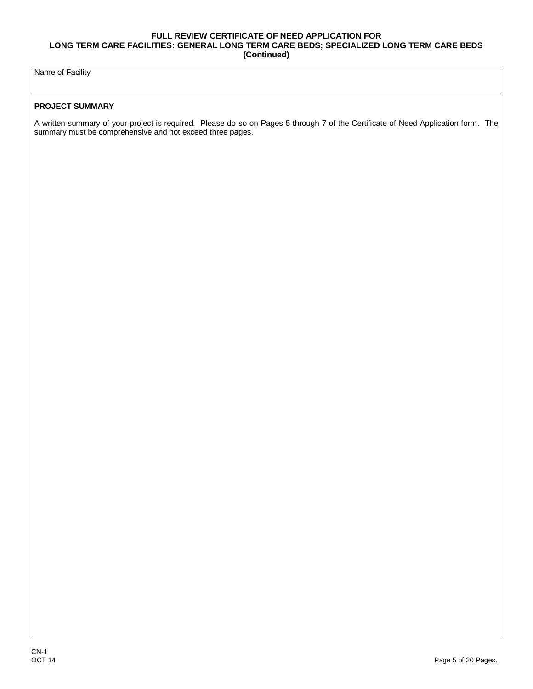Name of Facility

#### **PROJECT SUMMARY**

A written summary of your project is required. Please do so on Pages 5 through 7 of the Certificate of Need Application form. The summary must be comprehensive and not exceed three pages.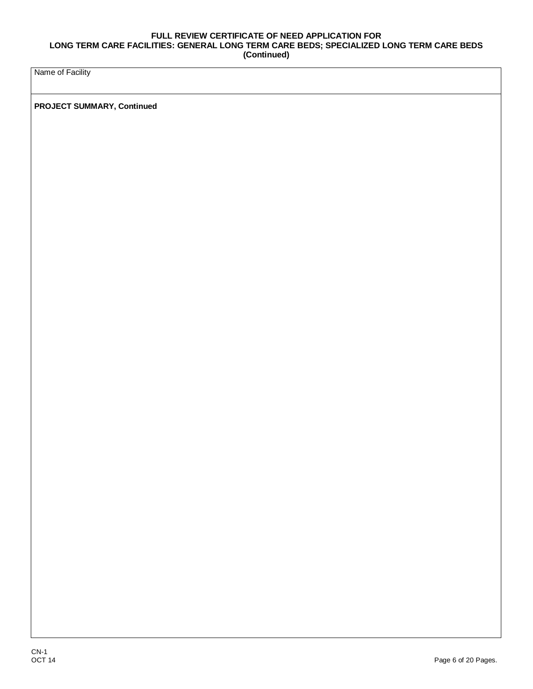Name of Facility

**PROJECT SUMMARY, Continued**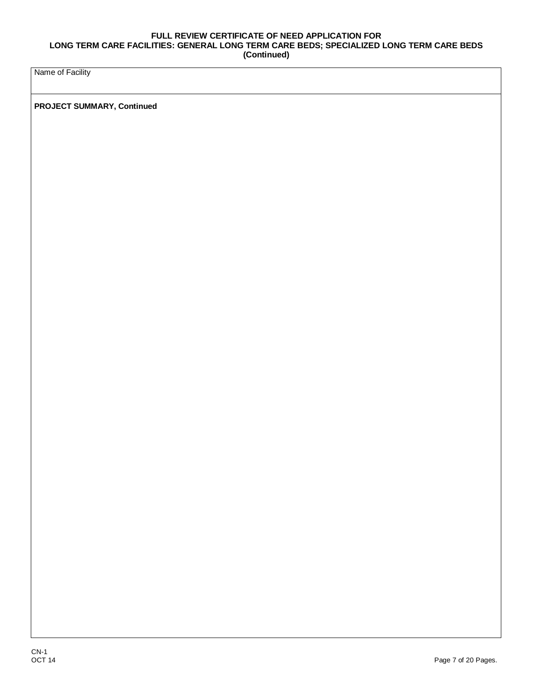Name of Facility

**PROJECT SUMMARY, Continued**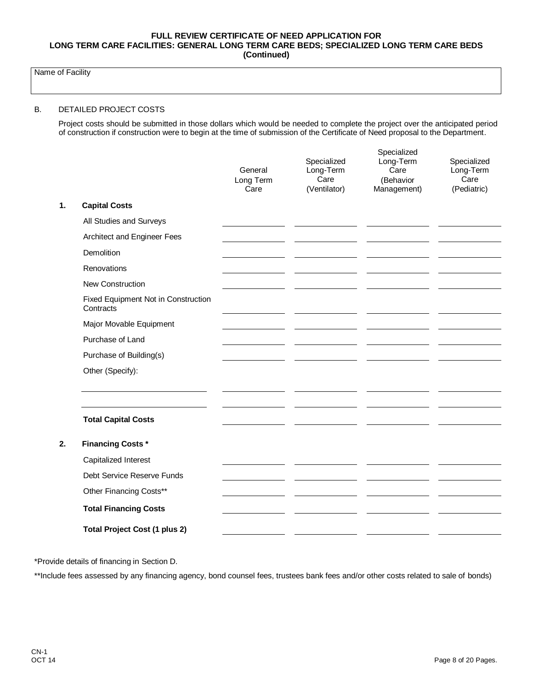Name of Facility

#### B. DETAILED PROJECT COSTS

Project costs should be submitted in those dollars which would be needed to complete the project over the anticipated period of construction if construction were to begin at the time of submission of the Certificate of Need proposal to the Department.

|    |                                                  | General<br>Long Term<br>Care | Specialized<br>Long-Term<br>Care<br>(Ventilator) | Specialized<br>Long-Term<br>Care<br>(Behavior<br>Management) | Specialized<br>Long-Term<br>Care<br>(Pediatric) |
|----|--------------------------------------------------|------------------------------|--------------------------------------------------|--------------------------------------------------------------|-------------------------------------------------|
| 1. | <b>Capital Costs</b>                             |                              |                                                  |                                                              |                                                 |
|    | All Studies and Surveys                          |                              |                                                  |                                                              |                                                 |
|    | Architect and Engineer Fees                      |                              |                                                  |                                                              |                                                 |
|    | Demolition                                       |                              |                                                  |                                                              |                                                 |
|    | Renovations                                      |                              |                                                  |                                                              |                                                 |
|    | <b>New Construction</b>                          |                              |                                                  |                                                              |                                                 |
|    | Fixed Equipment Not in Construction<br>Contracts |                              |                                                  |                                                              |                                                 |
|    | Major Movable Equipment                          |                              |                                                  |                                                              |                                                 |
|    | Purchase of Land                                 |                              |                                                  |                                                              |                                                 |
|    | Purchase of Building(s)                          |                              |                                                  |                                                              |                                                 |
|    | Other (Specify):                                 |                              |                                                  |                                                              |                                                 |
|    | <b>Total Capital Costs</b>                       |                              |                                                  |                                                              |                                                 |
|    |                                                  |                              |                                                  |                                                              |                                                 |
| 2. | <b>Financing Costs*</b>                          |                              |                                                  |                                                              |                                                 |
|    | Capitalized Interest                             |                              |                                                  |                                                              |                                                 |
|    | Debt Service Reserve Funds                       |                              |                                                  |                                                              |                                                 |
|    | Other Financing Costs**                          |                              |                                                  |                                                              |                                                 |
|    | <b>Total Financing Costs</b>                     |                              |                                                  |                                                              |                                                 |
|    | <b>Total Project Cost (1 plus 2)</b>             |                              |                                                  |                                                              |                                                 |
|    |                                                  |                              |                                                  |                                                              |                                                 |

\*Provide details of financing in Section D.

\*\*Include fees assessed by any financing agency, bond counsel fees, trustees bank fees and/or other costs related to sale of bonds)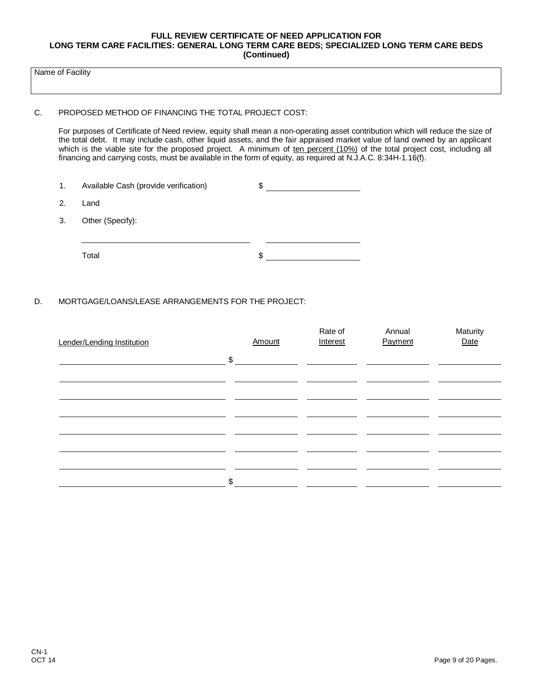Name of Facility

#### C. PROPOSED METHOD OF FINANCING THE TOTAL PROJECT COST:

For purposes of Certificate of Need review, equity shall mean a non-operating asset contribution which will reduce the size of the total debt. It may include cash, other liquid assets, and the fair appraised market value of land owned by an applicant which is the viable site for the proposed project. A minimum of ten percent (10%) of the total project cost, including all financing and carrying costs, must be available in the form of equity, as required at N.J.A.C. 8:34H-1.16(f).

| 1. | Available Cash (provide verification) | \$ |  |
|----|---------------------------------------|----|--|
| 2. | Land                                  |    |  |
| 3. | Other (Specify):                      |    |  |
|    |                                       |    |  |
|    | Total                                 | S  |  |

### D. MORTGAGE/LOANS/LEASE ARRANGEMENTS FOR THE PROJECT:

| Lender/Lending Institution |       | Amount | Rate of<br>Interest | Annual<br>Payment | Maturity<br>Date |
|----------------------------|-------|--------|---------------------|-------------------|------------------|
|                            | \$    |        |                     |                   |                  |
|                            |       |        |                     |                   |                  |
|                            |       |        |                     |                   |                  |
|                            |       |        |                     |                   |                  |
|                            |       |        |                     |                   |                  |
|                            | $\$\$ |        |                     |                   |                  |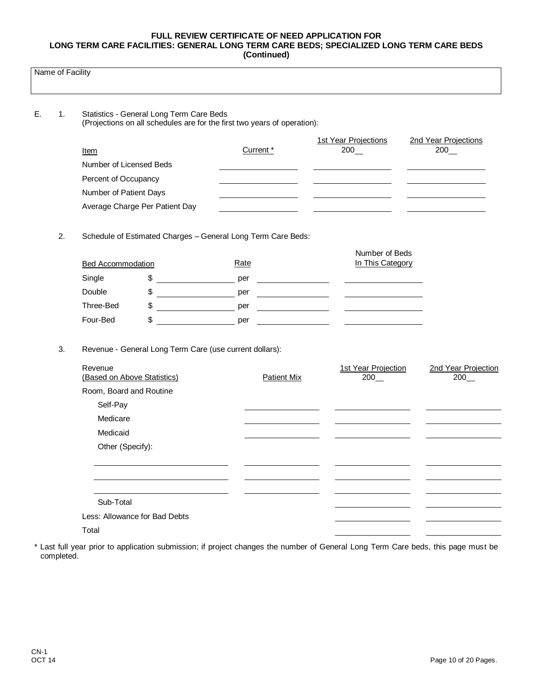| Name of Facility |  |
|------------------|--|
|------------------|--|

| 1. |                                        | Statistics - General Long Term Care Beds | (Projections on all schedules are for the first two years of operation): |                                    |                            |
|----|----------------------------------------|------------------------------------------|--------------------------------------------------------------------------|------------------------------------|----------------------------|
|    |                                        |                                          |                                                                          | 1st Year Projections               | 2nd Year Projections       |
|    | Item                                   |                                          | Current *                                                                | 200                                | $200$ $-$                  |
|    | Number of Licensed Beds                |                                          |                                                                          |                                    |                            |
|    | Percent of Occupancy                   |                                          |                                                                          |                                    |                            |
|    | Number of Patient Days                 |                                          |                                                                          |                                    |                            |
|    |                                        | Average Charge Per Patient Day           |                                                                          |                                    |                            |
| 2. |                                        |                                          | Schedule of Estimated Charges - General Long Term Care Beds:             |                                    |                            |
|    | <b>Bed Accommodation</b>               |                                          | Rate                                                                     | Number of Beds<br>In This Category |                            |
|    | Single                                 | \$                                       | per                                                                      |                                    |                            |
|    | Double                                 | \$                                       | per                                                                      |                                    |                            |
|    | Three-Bed                              | \$                                       | per                                                                      |                                    |                            |
|    | Four-Bed                               | \$                                       | per                                                                      |                                    |                            |
| 3. |                                        |                                          | Revenue - General Long Term Care (use current dollars):                  |                                    |                            |
|    | Revenue<br>(Based on Above Statistics) |                                          | <b>Patient Mix</b>                                                       | 1st Year Projection<br>200         | 2nd Year Projection<br>200 |
|    | Room, Board and Routine                |                                          |                                                                          |                                    |                            |
|    | Self-Pay                               |                                          |                                                                          |                                    |                            |
|    | Medicare                               |                                          |                                                                          |                                    |                            |
|    | Medicaid                               |                                          |                                                                          |                                    |                            |
|    | Other (Specify):                       |                                          |                                                                          |                                    |                            |
|    |                                        |                                          |                                                                          |                                    |                            |
|    | Sub-Total                              |                                          |                                                                          |                                    |                            |
|    |                                        | Less: Allowance for Bad Debts            |                                                                          |                                    |                            |
|    | Total                                  |                                          |                                                                          |                                    |                            |

 $\mathbb{R}^2$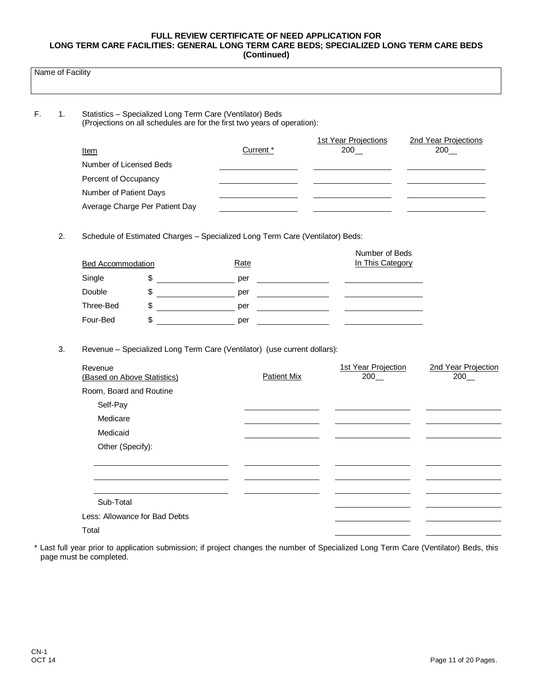|    | Name of Facility |                             |                                |                                                                                                                                       |                                                                                                                                                                                                                                                                                                                                                                                                                     |                      |
|----|------------------|-----------------------------|--------------------------------|---------------------------------------------------------------------------------------------------------------------------------------|---------------------------------------------------------------------------------------------------------------------------------------------------------------------------------------------------------------------------------------------------------------------------------------------------------------------------------------------------------------------------------------------------------------------|----------------------|
| F. | 1.               |                             |                                | Statistics - Specialized Long Term Care (Ventilator) Beds<br>(Projections on all schedules are for the first two years of operation): |                                                                                                                                                                                                                                                                                                                                                                                                                     |                      |
|    |                  |                             |                                |                                                                                                                                       | 1st Year Projections                                                                                                                                                                                                                                                                                                                                                                                                | 2nd Year Projections |
|    |                  | <u>Item</u>                 |                                | Current <sup>*</sup>                                                                                                                  | 200                                                                                                                                                                                                                                                                                                                                                                                                                 | 200                  |
|    |                  | Number of Licensed Beds     |                                |                                                                                                                                       |                                                                                                                                                                                                                                                                                                                                                                                                                     |                      |
|    |                  | Percent of Occupancy        |                                |                                                                                                                                       |                                                                                                                                                                                                                                                                                                                                                                                                                     |                      |
|    |                  | Number of Patient Days      |                                |                                                                                                                                       |                                                                                                                                                                                                                                                                                                                                                                                                                     |                      |
|    |                  |                             | Average Charge Per Patient Day |                                                                                                                                       |                                                                                                                                                                                                                                                                                                                                                                                                                     |                      |
|    |                  |                             |                                |                                                                                                                                       |                                                                                                                                                                                                                                                                                                                                                                                                                     |                      |
|    | 2.               |                             |                                | Schedule of Estimated Charges - Specialized Long Term Care (Ventilator) Beds:                                                         |                                                                                                                                                                                                                                                                                                                                                                                                                     |                      |
|    |                  |                             |                                |                                                                                                                                       | Number of Beds                                                                                                                                                                                                                                                                                                                                                                                                      |                      |
|    |                  | <b>Bed Accommodation</b>    |                                | Rate                                                                                                                                  | In This Category                                                                                                                                                                                                                                                                                                                                                                                                    |                      |
|    |                  | Single                      | \$                             | per                                                                                                                                   | <u> 1989 - Johann Barbara, martin a</u>                                                                                                                                                                                                                                                                                                                                                                             |                      |
|    |                  | Double                      | \$                             | per                                                                                                                                   | $\overline{\phantom{a}}$ and $\overline{\phantom{a}}$ and $\overline{\phantom{a}}$ and $\overline{\phantom{a}}$ and $\overline{\phantom{a}}$ and $\overline{\phantom{a}}$ and $\overline{\phantom{a}}$ and $\overline{\phantom{a}}$ and $\overline{\phantom{a}}$ and $\overline{\phantom{a}}$ and $\overline{\phantom{a}}$ and $\overline{\phantom{a}}$ and $\overline{\phantom{a}}$ and $\overline{\phantom{a}}$ a |                      |
|    |                  | Three-Bed                   | \$                             | per                                                                                                                                   | <u> 1990 - Jan Barton, politik politik (</u><br><u> 1990 - John Stone, mars and de la partie de la partie de la partie de la partie de la partie de la partie de</u>                                                                                                                                                                                                                                                |                      |
|    |                  | Four-Bed                    | \$                             | per                                                                                                                                   |                                                                                                                                                                                                                                                                                                                                                                                                                     |                      |
|    | 3.               |                             |                                | Revenue - Specialized Long Term Care (Ventilator) (use current dollars):                                                              |                                                                                                                                                                                                                                                                                                                                                                                                                     |                      |
|    |                  | Revenue                     |                                |                                                                                                                                       | 1st Year Projection                                                                                                                                                                                                                                                                                                                                                                                                 | 2nd Year Projection  |
|    |                  | (Based on Above Statistics) |                                | <b>Patient Mix</b>                                                                                                                    | 200                                                                                                                                                                                                                                                                                                                                                                                                                 | 200                  |
|    |                  | Room, Board and Routine     |                                |                                                                                                                                       |                                                                                                                                                                                                                                                                                                                                                                                                                     |                      |
|    |                  | Self-Pay                    |                                |                                                                                                                                       |                                                                                                                                                                                                                                                                                                                                                                                                                     |                      |
|    |                  | Medicare                    |                                |                                                                                                                                       |                                                                                                                                                                                                                                                                                                                                                                                                                     |                      |
|    |                  | Medicaid                    |                                |                                                                                                                                       |                                                                                                                                                                                                                                                                                                                                                                                                                     |                      |
|    |                  | Other (Specify):            |                                |                                                                                                                                       |                                                                                                                                                                                                                                                                                                                                                                                                                     |                      |
|    |                  |                             |                                |                                                                                                                                       |                                                                                                                                                                                                                                                                                                                                                                                                                     |                      |
|    |                  |                             |                                |                                                                                                                                       |                                                                                                                                                                                                                                                                                                                                                                                                                     |                      |
|    |                  | Sub-Total                   |                                |                                                                                                                                       |                                                                                                                                                                                                                                                                                                                                                                                                                     |                      |
|    |                  |                             | Less: Allowance for Bad Debts  |                                                                                                                                       |                                                                                                                                                                                                                                                                                                                                                                                                                     |                      |
|    |                  |                             |                                |                                                                                                                                       |                                                                                                                                                                                                                                                                                                                                                                                                                     |                      |

Total

\* Last full year prior to application submission; if project changes the number of Specialized Long Term Care (Ventilator) Beds, this page must be completed.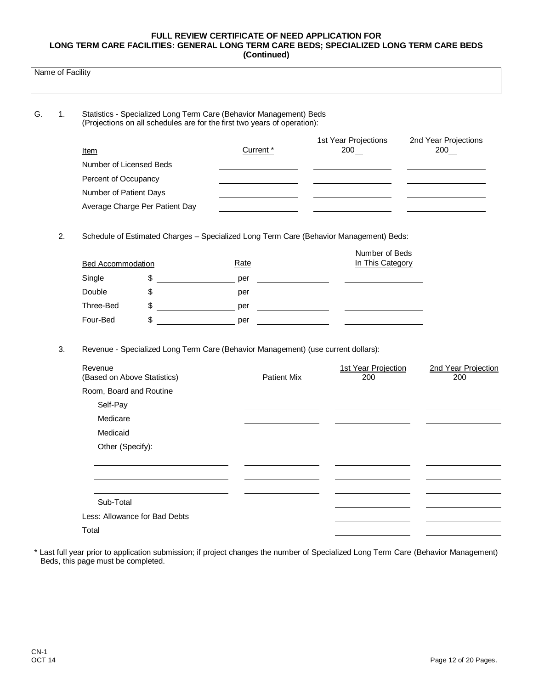|          | Name of Facility |                                                                                                                                                |                                |                    |                                                                                        |                            |  |  |  |  |
|----------|------------------|------------------------------------------------------------------------------------------------------------------------------------------------|--------------------------------|--------------------|----------------------------------------------------------------------------------------|----------------------------|--|--|--|--|
| G.<br>1. |                  | Statistics - Specialized Long Term Care (Behavior Management) Beds<br>(Projections on all schedules are for the first two years of operation): |                                |                    |                                                                                        |                            |  |  |  |  |
|          |                  |                                                                                                                                                |                                |                    | <b>1st Year Projections</b>                                                            | 2nd Year Projections       |  |  |  |  |
|          |                  | Item                                                                                                                                           |                                | Current *          | $200$ $-$                                                                              | $200$ $-$                  |  |  |  |  |
|          |                  | Number of Licensed Beds                                                                                                                        |                                |                    |                                                                                        |                            |  |  |  |  |
|          |                  | Percent of Occupancy                                                                                                                           |                                |                    |                                                                                        |                            |  |  |  |  |
|          |                  | Number of Patient Days                                                                                                                         |                                |                    |                                                                                        |                            |  |  |  |  |
|          |                  |                                                                                                                                                | Average Charge Per Patient Day |                    |                                                                                        |                            |  |  |  |  |
|          | 2.               |                                                                                                                                                |                                |                    | Schedule of Estimated Charges - Specialized Long Term Care (Behavior Management) Beds: |                            |  |  |  |  |
|          |                  |                                                                                                                                                |                                |                    | Number of Beds                                                                         |                            |  |  |  |  |
|          |                  | <b>Bed Accommodation</b>                                                                                                                       |                                | Rate               | In This Category                                                                       |                            |  |  |  |  |
|          |                  | Single                                                                                                                                         | \$                             | per                | <u> 1990 - John Barn Barn, amerikansk politiker (</u>                                  |                            |  |  |  |  |
|          |                  | Double                                                                                                                                         | \$                             | per                | <u>and the second property of the second property</u>                                  |                            |  |  |  |  |
|          |                  | Three-Bed                                                                                                                                      | \$                             | per                |                                                                                        |                            |  |  |  |  |
|          |                  | Four-Bed                                                                                                                                       | \$                             | per                |                                                                                        |                            |  |  |  |  |
|          | 3.               |                                                                                                                                                |                                |                    | Revenue - Specialized Long Term Care (Behavior Management) (use current dollars):      |                            |  |  |  |  |
|          |                  | Revenue<br>(Based on Above Statistics)                                                                                                         |                                | <b>Patient Mix</b> | 1st Year Projection<br>200                                                             | 2nd Year Projection<br>200 |  |  |  |  |
|          |                  | Room, Board and Routine                                                                                                                        |                                |                    |                                                                                        |                            |  |  |  |  |
|          |                  | Self-Pay                                                                                                                                       |                                |                    |                                                                                        |                            |  |  |  |  |
|          |                  | Medicare                                                                                                                                       |                                |                    |                                                                                        |                            |  |  |  |  |
|          |                  | Medicaid                                                                                                                                       |                                |                    |                                                                                        |                            |  |  |  |  |
|          |                  | Other (Specify):                                                                                                                               |                                |                    |                                                                                        |                            |  |  |  |  |
|          |                  |                                                                                                                                                |                                |                    |                                                                                        |                            |  |  |  |  |
|          |                  |                                                                                                                                                |                                |                    |                                                                                        |                            |  |  |  |  |
|          |                  | Sub-Total                                                                                                                                      |                                |                    |                                                                                        |                            |  |  |  |  |
|          |                  |                                                                                                                                                | Less: Allowance for Bad Debts  |                    |                                                                                        |                            |  |  |  |  |
|          |                  | Total                                                                                                                                          |                                |                    |                                                                                        |                            |  |  |  |  |

\* Last full year prior to application submission; if project changes the number of Specialized Long Term Care (Behavior Management) Beds, this page must be completed.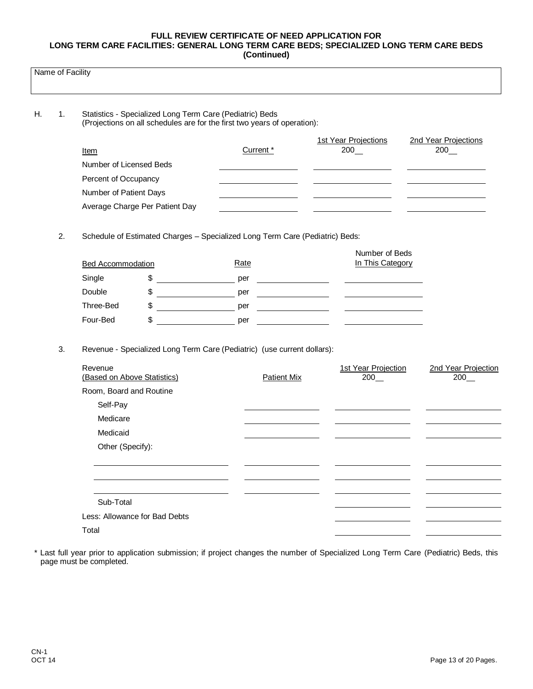| Name of Facility |    |                                                                                                                                      |                                         |                                                                              |                                                                                                                          |                            |  |  |  |
|------------------|----|--------------------------------------------------------------------------------------------------------------------------------------|-----------------------------------------|------------------------------------------------------------------------------|--------------------------------------------------------------------------------------------------------------------------|----------------------------|--|--|--|
| Н.               | 1. | Statistics - Specialized Long Term Care (Pediatric) Beds<br>(Projections on all schedules are for the first two years of operation): |                                         |                                                                              |                                                                                                                          |                            |  |  |  |
|                  |    |                                                                                                                                      |                                         |                                                                              | 1st Year Projections                                                                                                     | 2nd Year Projections       |  |  |  |
|                  |    | Item                                                                                                                                 |                                         | Current <sup>*</sup>                                                         | 200                                                                                                                      | $200$ $-$                  |  |  |  |
|                  |    | Number of Licensed Beds                                                                                                              |                                         |                                                                              |                                                                                                                          |                            |  |  |  |
|                  |    | Percent of Occupancy                                                                                                                 |                                         |                                                                              |                                                                                                                          |                            |  |  |  |
|                  |    | Number of Patient Days                                                                                                               |                                         |                                                                              |                                                                                                                          |                            |  |  |  |
|                  |    |                                                                                                                                      | Average Charge Per Patient Day          |                                                                              |                                                                                                                          |                            |  |  |  |
|                  |    |                                                                                                                                      |                                         |                                                                              |                                                                                                                          |                            |  |  |  |
|                  | 2. |                                                                                                                                      |                                         | Schedule of Estimated Charges - Specialized Long Term Care (Pediatric) Beds: | Number of Beds                                                                                                           |                            |  |  |  |
|                  |    | <b>Bed Accommodation</b>                                                                                                             |                                         | Rate                                                                         | In This Category                                                                                                         |                            |  |  |  |
|                  |    | Single                                                                                                                               | \$                                      | per                                                                          | <u> 1990 - Johann Barbara, politik eta politik eta politik eta politik eta politik eta politik eta politik eta p</u> oli |                            |  |  |  |
|                  |    | Double                                                                                                                               | \$                                      | per                                                                          | <u> London a componente de la componente de la componente de la componente de la componente de la componente de la</u>   |                            |  |  |  |
|                  |    | Three-Bed                                                                                                                            | \$<br><u>and the state of the state</u> | per                                                                          | <u> 1999 - Jan Jan Jawa</u><br><u> The Communication of the Communication</u>                                            |                            |  |  |  |
|                  |    | Four-Bed                                                                                                                             | \$                                      | per                                                                          |                                                                                                                          |                            |  |  |  |
|                  | 3. |                                                                                                                                      |                                         | Revenue - Specialized Long Term Care (Pediatric) (use current dollars):      |                                                                                                                          |                            |  |  |  |
|                  |    | Revenue<br>(Based on Above Statistics)                                                                                               |                                         | <b>Patient Mix</b>                                                           | 1st Year Projection<br>200                                                                                               | 2nd Year Projection<br>200 |  |  |  |
|                  |    | Room, Board and Routine                                                                                                              |                                         |                                                                              |                                                                                                                          |                            |  |  |  |
|                  |    | Self-Pay                                                                                                                             |                                         |                                                                              |                                                                                                                          |                            |  |  |  |
|                  |    | Medicare                                                                                                                             |                                         |                                                                              |                                                                                                                          |                            |  |  |  |
|                  |    | Medicaid                                                                                                                             |                                         |                                                                              |                                                                                                                          |                            |  |  |  |
|                  |    | Other (Specify):                                                                                                                     |                                         |                                                                              |                                                                                                                          |                            |  |  |  |
|                  |    |                                                                                                                                      |                                         |                                                                              |                                                                                                                          |                            |  |  |  |
|                  |    |                                                                                                                                      |                                         |                                                                              |                                                                                                                          |                            |  |  |  |
|                  |    | Sub-Total                                                                                                                            |                                         |                                                                              |                                                                                                                          |                            |  |  |  |
|                  |    |                                                                                                                                      | Less: Allowance for Bad Debts           |                                                                              |                                                                                                                          |                            |  |  |  |
|                  |    | Total                                                                                                                                |                                         |                                                                              |                                                                                                                          |                            |  |  |  |

\* Last full year prior to application submission; if project changes the number of Specialized Long Term Care (Pediatric) Beds, this page must be completed.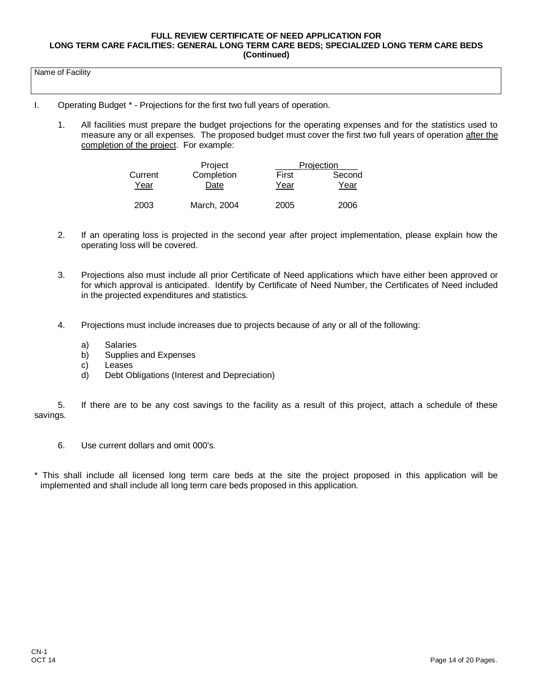Name of Facility

- I. Operating Budget \* Projections for the first two full years of operation.
	- 1. All facilities must prepare the budget projections for the operating expenses and for the statistics used to measure any or all expenses. The proposed budget must cover the first two full years of operation after the completion of the project. For example:

|                 | Project            | Projection |                |  |  |
|-----------------|--------------------|------------|----------------|--|--|
| Current<br>Year | Completion<br>Date |            | Second<br>Year |  |  |
| 2003            | March, 2004        | 2005       | 2006           |  |  |

- 2. If an operating loss is projected in the second year after project implementation, please explain how the operating loss will be covered.
- 3. Projections also must include all prior Certificate of Need applications which have either been approved or for which approval is anticipated. Identify by Certificate of Need Number, the Certificates of Need included in the projected expenditures and statistics.
- 4. Projections must include increases due to projects because of any or all of the following:
	- a) Salaries
	- b) Supplies and Expenses
	- c) Leases
	- d) Debt Obligations (Interest and Depreciation)

5. If there are to be any cost savings to the facility as a result of this project, attach a schedule of these savings.

- 6. Use current dollars and omit 000's.
- \* This shall include all licensed long term care beds at the site the project proposed in this application will be implemented and shall include all long term care beds proposed in this application.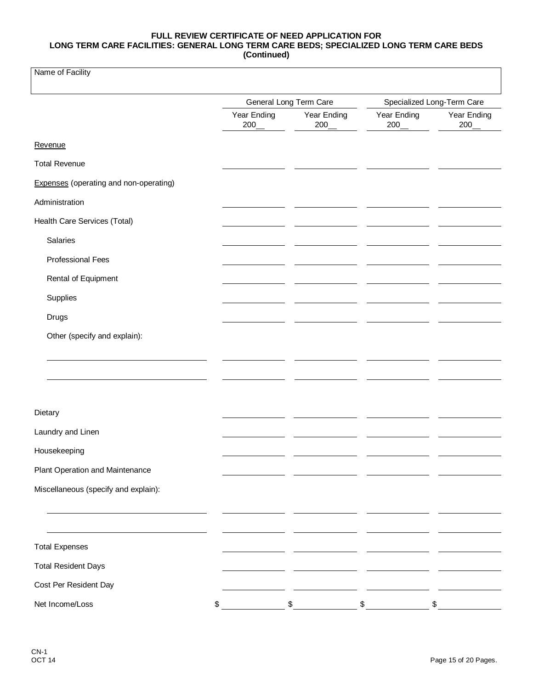Name of Facility

|                                               |                    | General Long Term Care | Specialized Long-Term Care |                    |  |
|-----------------------------------------------|--------------------|------------------------|----------------------------|--------------------|--|
|                                               | Year Ending<br>200 | Year Ending<br>200     | Year Ending<br>200         | Year Ending<br>200 |  |
| Revenue                                       |                    |                        |                            |                    |  |
| <b>Total Revenue</b>                          |                    |                        |                            |                    |  |
| <b>Expenses</b> (operating and non-operating) |                    |                        |                            |                    |  |
| Administration                                |                    |                        |                            |                    |  |
| Health Care Services (Total)                  |                    |                        |                            |                    |  |
| Salaries                                      |                    |                        |                            |                    |  |
| <b>Professional Fees</b>                      |                    |                        |                            |                    |  |
| Rental of Equipment                           |                    |                        |                            |                    |  |
| Supplies                                      |                    |                        |                            |                    |  |
| Drugs                                         |                    |                        |                            |                    |  |
| Other (specify and explain):                  |                    |                        |                            |                    |  |
|                                               |                    |                        |                            |                    |  |
|                                               |                    |                        |                            |                    |  |
|                                               |                    |                        |                            |                    |  |
| Dietary                                       |                    |                        |                            |                    |  |
| Laundry and Linen                             |                    |                        |                            |                    |  |
| Housekeeping                                  |                    |                        |                            |                    |  |
| Plant Operation and Maintenance               |                    |                        |                            |                    |  |
| Miscellaneous (specify and explain):          |                    |                        |                            |                    |  |
|                                               |                    |                        |                            |                    |  |
|                                               |                    |                        |                            |                    |  |
| <b>Total Expenses</b>                         |                    |                        |                            |                    |  |
| <b>Total Resident Days</b>                    |                    |                        |                            |                    |  |
| Cost Per Resident Day                         |                    |                        |                            |                    |  |
| Net Income/Loss                               | \$                 | \$                     | \$                         | \$                 |  |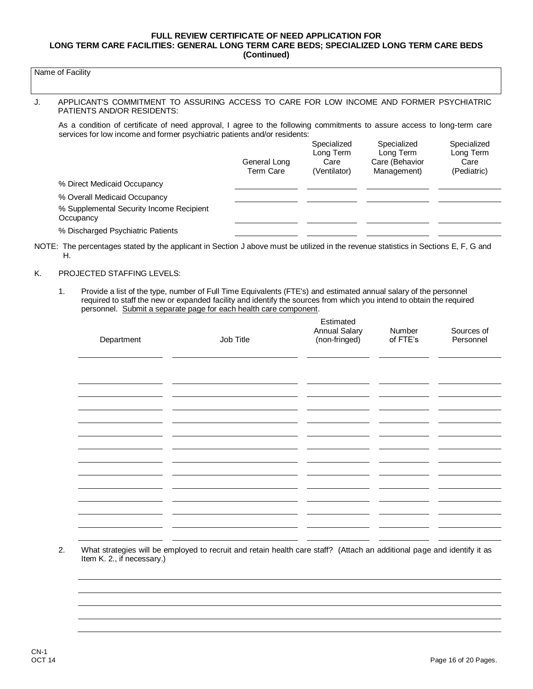### Name of Facility

#### J. APPLICANT'S COMMITMENT TO ASSURING ACCESS TO CARE FOR LOW INCOME AND FORMER PSYCHIATRIC PATIENTS AND/OR RESIDENTS:

As a condition of certificate of need approval, I agree to the following commitments to assure access to long-term care services for low income and former psychiatric patients and/or residents:

|                                                       | General Long<br><b>Term Care</b> | Specialized<br>Long Term<br>Care<br>(Ventilator) | Specialized<br>Long Term<br>Care (Behavior<br>Management) | Specialized<br>Long Term<br>Care<br>(Pediatric) |
|-------------------------------------------------------|----------------------------------|--------------------------------------------------|-----------------------------------------------------------|-------------------------------------------------|
| % Direct Medicaid Occupancy                           |                                  |                                                  |                                                           |                                                 |
| % Overall Medicaid Occupancy                          |                                  |                                                  |                                                           |                                                 |
| % Supplemental Security Income Recipient<br>Occupancy |                                  |                                                  |                                                           |                                                 |
| % Discharged Psychiatric Patients                     |                                  |                                                  |                                                           |                                                 |

NOTE: The percentages stated by the applicant in Section J above must be utilized in the revenue statistics in Sections E, F, G and H.

#### K. PROJECTED STAFFING LEVELS:

1. Provide a list of the type, number of Full Time Equivalents (FTE's) and estimated annual salary of the personnel required to staff the new or expanded facility and identify the sources from which you intend to obtain the required personnel. Submit a separate page for each health care component.

| Department | Job Title | Estimated<br><b>Annual Salary</b><br>(non-fringed) | Number<br>of FTE's | Sources of<br>Personnel |
|------------|-----------|----------------------------------------------------|--------------------|-------------------------|
|            |           |                                                    |                    |                         |
|            |           |                                                    |                    |                         |
|            |           |                                                    |                    |                         |
|            |           |                                                    |                    |                         |
|            |           |                                                    |                    |                         |
|            |           |                                                    |                    |                         |
|            |           |                                                    |                    |                         |

2. What strategies will be employed to recruit and retain health care staff? (Attach an additional page and identify it as Item K. 2., if necessary.)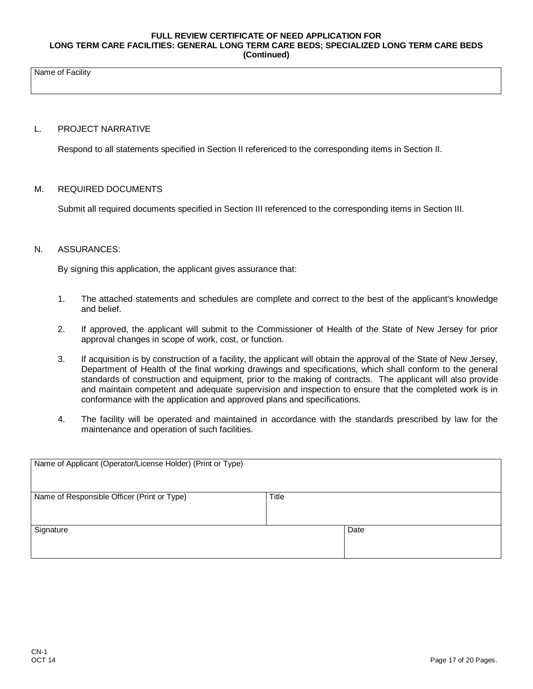Name of Facility

## L. PROJECT NARRATIVE

Respond to all statements specified in Section II referenced to the corresponding items in Section II.

#### M. REQUIRED DOCUMENTS

Submit all required documents specified in Section III referenced to the corresponding items in Section III.

### N. ASSURANCES:

By signing this application, the applicant gives assurance that:

- 1. The attached statements and schedules are complete and correct to the best of the applicant's knowledge and belief.
- 2. If approved, the applicant will submit to the Commissioner of Health of the State of New Jersey for prior approval changes in scope of work, cost, or function.
- 3. If acquisition is by construction of a facility, the applicant will obtain the approval of the State of New Jersey, Department of Health of the final working drawings and specifications, which shall conform to the general standards of construction and equipment, prior to the making of contracts. The applicant will also provide and maintain competent and adequate supervision and inspection to ensure that the completed work is in conformance with the application and approved plans and specifications.
- 4. The facility will be operated and maintained in accordance with the standards prescribed by law for the maintenance and operation of such facilities.

| Name of Applicant (Operator/License Holder) (Print or Type) |       |      |
|-------------------------------------------------------------|-------|------|
| Name of Responsible Officer (Print or Type)                 | Title |      |
| Signature                                                   |       | Date |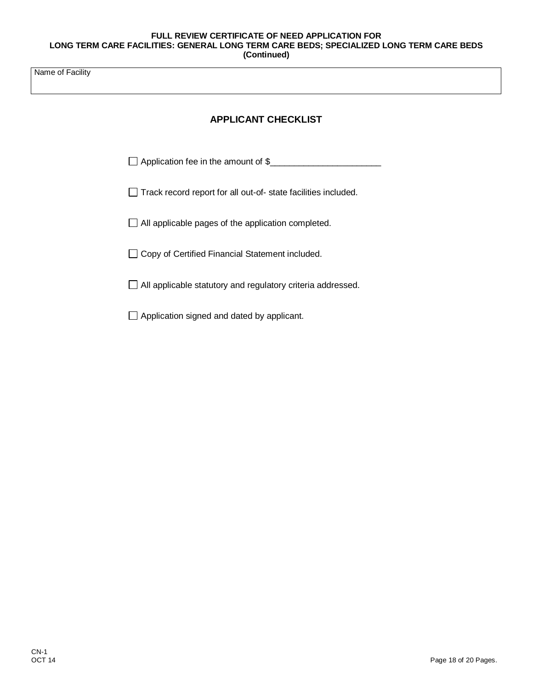Name of Facility

# **APPLICANT CHECKLIST**

□ Application fee in the amount of \$

Track record report for all out-of- state facilities included.

All applicable pages of the application completed.

□ Copy of Certified Financial Statement included.

All applicable statutory and regulatory criteria addressed.

 $\Box$  Application signed and dated by applicant.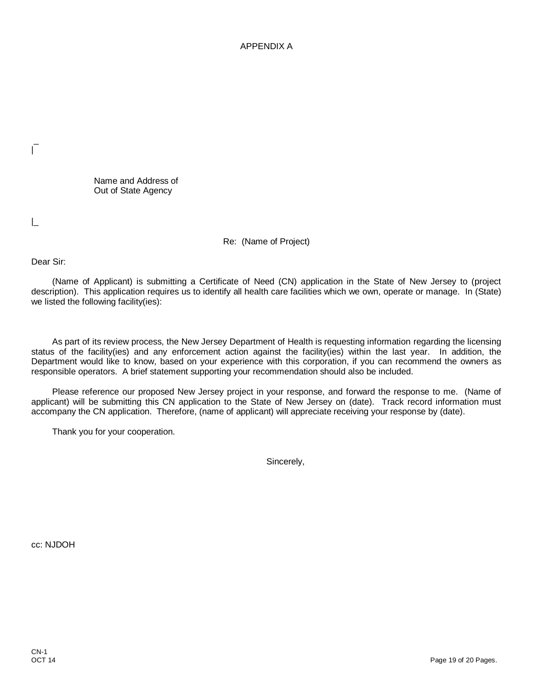APPENDIX A

Name and Address of Out of State Agency

|\_

\_ |

Re: (Name of Project)

Dear Sir:

(Name of Applicant) is submitting a Certificate of Need (CN) application in the State of New Jersey to (project description). This application requires us to identify all health care facilities which we own, operate or manage. In (State) we listed the following facility(ies):

As part of its review process, the New Jersey Department of Health is requesting information regarding the licensing status of the facility(ies) and any enforcement action against the facility(ies) within the last year. In addition, the Department would like to know, based on your experience with this corporation, if you can recommend the owners as responsible operators. A brief statement supporting your recommendation should also be included.

Please reference our proposed New Jersey project in your response, and forward the response to me. (Name of applicant) will be submitting this CN application to the State of New Jersey on (date). Track record information must accompany the CN application. Therefore, (name of applicant) will appreciate receiving your response by (date).

Thank you for your cooperation.

Sincerely,

cc: NJDOH